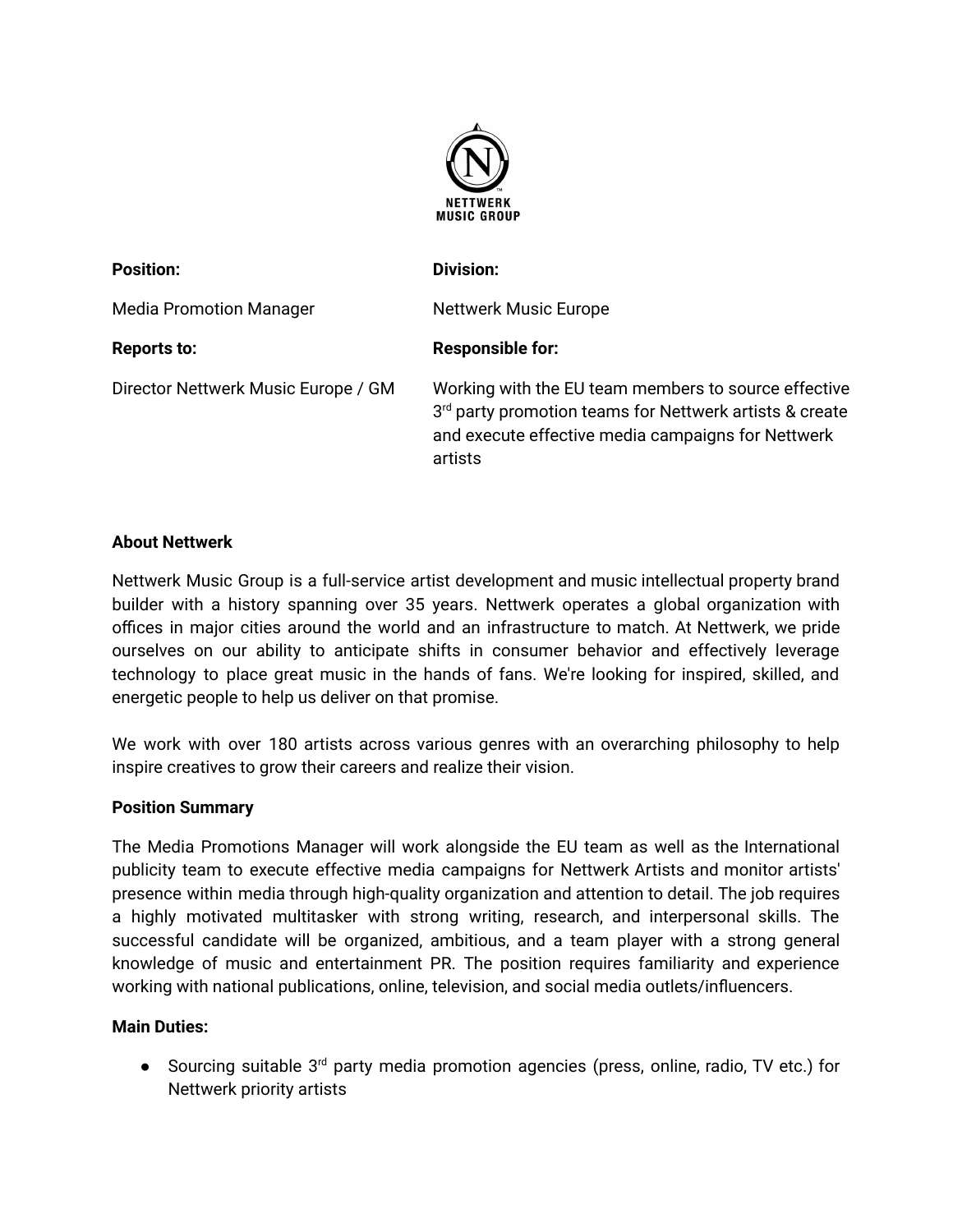

| <b>Position:</b>                    | <b>Division:</b>                                                                                                                                                                 |
|-------------------------------------|----------------------------------------------------------------------------------------------------------------------------------------------------------------------------------|
| <b>Media Promotion Manager</b>      | <b>Nettwerk Music Europe</b>                                                                                                                                                     |
| <b>Reports to:</b>                  | <b>Responsible for:</b>                                                                                                                                                          |
| Director Nettwerk Music Europe / GM | Working with the EU team members to source effective<br>3rd party promotion teams for Nettwerk artists & create<br>and execute effective media campaigns for Nettwerk<br>artists |

## **About Nettwerk**

Nettwerk Music Group is a full-service artist development and music intellectual property brand builder with a history spanning over 35 years. Nettwerk operates a global organization with offices in major cities around the world and an infrastructure to match. At Nettwerk, we pride ourselves on our ability to anticipate shifts in consumer behavior and effectively leverage technology to place great music in the hands of fans. We're looking for inspired, skilled, and energetic people to help us deliver on that promise.

We work with over 180 artists across various genres with an overarching philosophy to help inspire creatives to grow their careers and realize their vision.

## **Position Summary**

The Media Promotions Manager will work alongside the EU team as well as the International publicity team to execute effective media campaigns for Nettwerk Artists and monitor artists' presence within media through high-quality organization and attention to detail. The job requires a highly motivated multitasker with strong writing, research, and interpersonal skills. The successful candidate will be organized, ambitious, and a team player with a strong general knowledge of music and entertainment PR. The position requires familiarity and experience working with national publications, online, television, and social media outlets/influencers.

## **Main Duties:**

● Sourcing suitable 3<sup>rd</sup> party media promotion agencies (press, online, radio, TV etc.) for Nettwerk priority artists